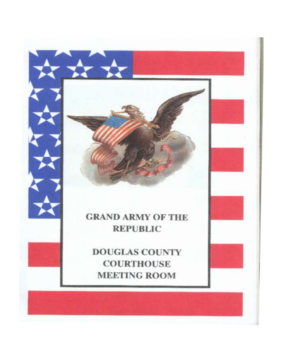# **GRAND ARMY OF THE REPUBLIC**

 $\rightarrow$ 

**DOUGLAS COUNTY COURTHOUSE MEETING ROOM**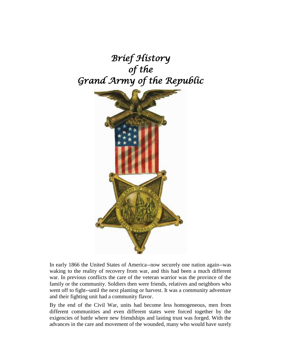# *Brief History of the Grand Army of the Republic*



In early 1866 the United States of America--now securely one nation again--was waking to the reality of recovery from war, and this had been a much different war. In previous conflicts the care of the veteran warrior was the province of the family or the community. Soldiers then were friends, relatives and neighbors who went off to fight--until the next planting or harvest. It was a community adventure and their fighting unit had a community flavor.

By the end of the Civil War, units had become less homogeneous, men from different communities and even different states were forced together by the exigencies of battle where new friendships and lasting trust was forged. With the advances in the care and movement of the wounded, many who would have surely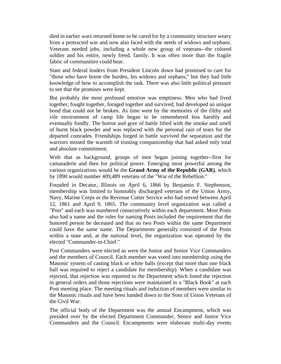died in earlier wars returned home to be cared for by a community structure weary from a protracted war and now also faced with the needs of widows and orphans. Veterans needed jobs, including a whole new group of veterans--the colored soldier and his entire, newly freed, family. It was often more than the fragile fabric of communities could bear.

State and federal leaders from President Lincoln down had promised to care for "those who have borne the burden, his widows and orphans," but they had little knowledge of how to accomplish the task. There was also little political pressure to see that the promises were kept.

But probably the most profound emotion was emptiness. Men who had lived together, fought together, foraged together and survived, had developed an unique bond that could not be broken. As time went by the memories of the filthy and vile environment of camp life began to be remembered less harshly and eventually fondly. The horror and gore of battle lifted with the smoke and smell of burnt black powder and was replaced with the personal rain of tears for the departed comrades. Friendships forged in battle survived the separation and the warriors missed the warmth of trusting companionship that had asked only total and absolute commitment.

With that as background, groups of men began joining together--first for camaraderie and then for political power. Emerging most powerful among the various organizations would be the **Grand Army of the Republic (GAR)**, which by 1890 would number 409,489 veterans of the "War of the Rebellion."

Founded in Decatur, Illinois on April 6, 1866 by Benjamin F. Stephenson, membership was limited to honorably discharged veterans of the Union Army, Navy, Marine Corps or the Revenue Cutter Service who had served between April 12, 1861 and April 9, 1865. The community level organization was called a "Post" and each was numbered consecutively within each department. Most Posts also had a name and the rules for naming Posts included the requirement that the honored person be deceased and that no two Posts within the same Department could have the same name. The Departments generally consisted of the Posts within a state and, at the national level, the organization was operated by the elected "Commander-in-Chief."

Post Commanders were elected as were the Junior and Senior Vice Commanders and the members of Council. Each member was voted into membership using the Masonic system of casting black or white balls (except that more than one black ball was required to reject a candidate for membership). When a candidate was rejected, that rejection was reported to the Department which listed the rejection in general orders and those rejections were maintained in a "Black Book" at each Post meeting place. The meeting rituals and induction of members were similar to the Masonic rituals and have been handed down to the Sons of Union Veterans of the Civil War.

The official body of the Department was the annual Encampment, which was presided over by the elected Department Commander, Senior and Junior Vice Commanders and the Council. Encampments were elaborate multi-day events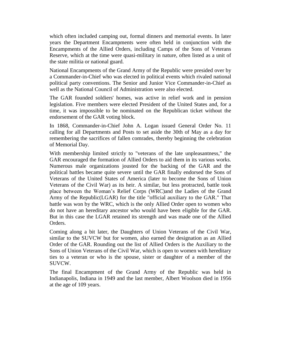which often included camping out, formal dinners and memorial events. In later years the Department Encampments were often held in conjunction with the Encampments of the Allied Orders, including Camps of the Sons of Veterans Reserve, which at the time were quasi-military in nature, often listed as a unit of the state militia or national guard.

National Encampments of the Grand Army of the Republic were presided over by a Commander-in-Chief who was elected in political events which rivaled national political party conventions. The Senior and Junior Vice Commander-in-Chief as well as the National Council of Administration were also elected.

The GAR founded soldiers' homes, was active in relief work and in pension legislation. Five members were elected President of the United States and, for a time, it was impossible to be nominated on the Republican ticket without the endorsement of the GAR voting block.

In 1868, Commander-in-Chief John A. Logan issued General Order No. 11 calling for all Departments and Posts to set aside the 30th of May as a day for remembering the sacrifices of fallen comrades, thereby beginning the celebration of Memorial Day.

With membership limited strictly to "veterans of the late unpleasantness," the GAR encouraged the formation of Allied Orders to aid them in its various works. Numerous male organizations jousted for the backing of the GAR and the political battles became quite severe until the GAR finally endorsed the Sons of Veterans of the United States of America (later to become the Sons of Union Veterans of the Civil War) as its heir. A similar, but less protracted, battle took place between the Woman's Relief Corps (WRC)and the Ladies of the Grand Army of the Republic(LGAR) for the title "official auxiliary to the GAR." That battle was won by the WRC, which is the only Allied Order open to women who do not have an hereditary ancestor who would have been eligible for the GAR. But in this case the LGAR retained its strength and was made one of the Allied Orders.

Coming along a bit later, the Daughters of Union Veterans of the Civil War, similar to the SUVCW but for women, also earned the designation as an Allied Order of the GAR. Rounding out the list of Allied Orders is the Auxiliary to the Sons of Union Veterans of the Civil War, which is open to women with hereditary ties to a veteran or who is the spouse, sister or daughter of a member of the SUVCW.

The final Encampment of the Grand Army of the Republic was held in Indianapolis, Indiana in 1949 and the last member, Albert Woolson died in 1956 at the age of 109 years.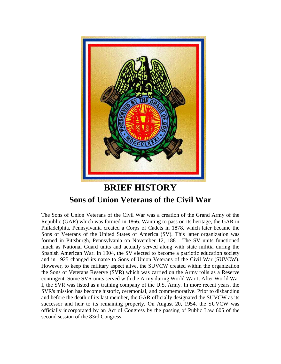

## **BRIEF HISTORY Sons of Union Veterans of the Civil War**

The Sons of Union Veterans of the Civil War was a creation of the Grand Army of the Republic (GAR) which was formed in 1866. Wanting to pass on its heritage, the GAR in Philadelphia, Pennsylvania created a Corps of Cadets in 1878, which later became the Sons of Veterans of the United States of America (SV). This latter organization was formed in Pittsburgh, Pennsylvania on November 12, 1881. The SV units functioned much as National Guard units and actually served along with state militia during the Spanish American War. In 1904, the SV elected to become a patriotic education society and in 1925 changed its name to Sons of Union Veterans of the Civil War (SUVCW). However, to keep the military aspect alive, the SUVCW created within the organization the Sons of Veterans Reserve (SVR) which was carried on the Army rolls as a Reserve contingent. Some SVR units served with the Army during World War I. After World War I, the SVR was listed as a training company of the U.S. Army. In more recent years, the SVR's mission has become historic, ceremonial, and commemorative. Prior to disbanding and before the death of its last member, the GAR officially designated the SUVCW as its successor and heir to its remaining property. On August 20, 1954, the SUVCW was officially incorporated by an Act of Congress by the passing of Public Law 605 of the second session of the 83rd Congress.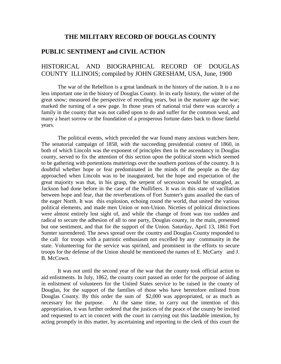## **THE MILITARY RECORD OF DOUGLAS COUNTY**

## **PUBLIC SENTIMENT and CIVIL ACTION**

## HISTORICAL AND BIOGRAPHICAL RECORD OF DOUGLAS COUNTY ILLINOIS; compiled by JOHN GRESHAM, USA, June, 1900

The war of the Rebellion is a great landmark in the history of the nation. It is a no less important one in the history of Douglas County. In its early history, the winter of the great snow; measured the perspective of receding years, but in the maturer age the war; marked the turning of a new page. In those years of national trial there was scarcely a family in the county that was not called upon to do and suffer for the common weal, and many a heart sorrow or the foundation of a prosperous fortune dates back to those fateful years.

The political events, which preceded the war found many anxious watchers here. The senatorial campaign of 1858, with the succeeding presidential contest of 1860, in both of which Lincoln was the exponent of principles then in the ascendancy in Douglas county, served to fix the attention of this section upon the political storm which seemed to be gathering with portentions mutterings over the southern portions of the country. It is doubtful whether hope or fear predominated in the minds of the people as the day approached when Lincoln was to be inaugurated, but the hope and expectation of the great majority was that, in his grasp, the serpent of secession would be strangled, as Jackson had done before in the case of the Nullifiers. It was in this state of vacillation between hope and fear, that the reverberations of Fort Sumter's guns assailed the ears of the eager North. It was this explosion, echoing round the world, that united the various political elements, and made men Union or non-Union. Niceties of political distinctions were almost entirely lost sight of, and while the change of front was too sudden and radical to secure the adhesion of all to one party, Douglas county, in the main, presented but one sentiment, and that for the support of the Union. Saturday, April 13, 1861 Fort Sumter surrendered. The news spread over the country and Douglas County responded to the call for troops with a patriotic enthusiasm not excelled by any community in the state. Volunteering for the service was spirited, and prominent in the efforts to secure troops for the defense of the Union should be mentioned the names of E. McCarty and J. B. McCown.

It was not until the second year of the war that the county took official action to aid enlistments. In July, 1862, the county court passed an order for the purpose of aiding in enlistment of volunteers for the United States service to be raised in the county of Douglas, for the support of the families of those who have heretofore enlisted from Douglas County. By this order the sum of \$2,000 was appropriated, or as much as necessary for the purpose. At the same time, to carry out the intention of this appropriation, it was further ordered that the justices of the peace of the county be invited and requested to act in concert with the court in carrying out this laudable intention, by acting promptly in this matter, by ascertaining and reporting to the clerk of this court the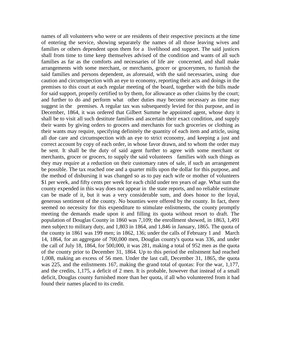names of all volunteers who were or are residents of their respective precincts at the time of entering the service, showing separately the names of all those leaving wives and families or others dependent upon them for a livelihood and support. The said justices shall from time to time keep themselves advised of the condition and wants of all such families as far as the comforts and necessaries of life are concerned, and shall make arrangements with some merchant, or merchants, grocer or grocerymen, to furnish the said families and persons dependent, as aforesaid, with the said necessaries, using due caution and circumspection with an eye to economy, reporting their acts and doings in the premises to this court at each regular meeting of the board, together with the bills made for said support, properly certified to by them, for allowance as other claims by the court; and further to do and perform what other duties may become necessary as time may suggest in the premises. A regular tax was subsequently levied for this purpose, and in December, 1864, it was ordered that Gilbert Summe be appointed agent, whose duty it shall be to visit all such destitute families and ascertain their exact condition, and supply their wants by giving orders to grocers and merchants for such groceries or clothing as their wants may require, specifying definitely the quantity of each item and article, using all due care and circumspection with an eye to strict economy, and keeping a just and correct account by copy of each order, in whose favor drawn, and to whom the order may be sent. It shall be the duty of said agent further to agree with some merchant or merchants, grocer or grocers, to supply the said volunteers families with such things as they may require at a reduction on their customary rates of sale, if such an arrangement be possible. The tax reached one and a quarter mills upon the dollar for this purpose, and the method of disbursing it was changed so as to pay each wife or mother of volunteers \$1 per week, and fifty cents per week for each child under ten years of age. What sum the county expended in this way does not appear in the state reports, and no reliable estimate can be made of it, but it was a very considerable sum, and does honor to the loyal, generous sentiment of the county. No bounties were offered by the county. In fact, there seemed no necessity for this expenditure to stimulate enlistments, the county promptly meeting the demands made upon it and filling its quota without resort to draft. The population of Douglas County in 1860 was 7,109; the enrollment showed, in 1863, 1,491 men subject to military duty, and 1,803 in 1864, and 1,846 in January, 1865. The quota of the county in 1861 was 199 men; in 1862, 136; under the calls of February 1 and March 14, 1864, for an aggregate of 700,000 men, Douglas county's quota was 336, and under the call of July 18, 1864, for 500,000, it was 281, making a total of 952 men as the quota of the county prior to December 31, 1864. Up to this period the enlistment had reached 1,008, making an excess of 56 men. Under the last call, December 31, 1865, the quota was 225, and the enlistments 167, making the grand total of quotas: For the war, 1,177, and the credits, 1,175, a deficit of 2 men. It is probable, however that instead of a small deficit, Douglas county furnished more than her quota, if all who volunteered from it had found their names placed to its credit.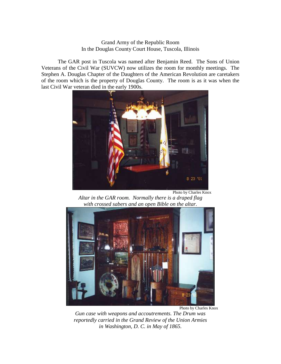#### Grand Army of the Republic Room In the Douglas County Court House, Tuscola, Illinois

The GAR post in Tuscola was named after Benjamin Reed. The Sons of Union Veterans of the Civil War (SUVCW) now utilizes the room for monthly meetings. The Stephen A. Douglas Chapter of the Daughters of the American Revolution are caretakers of the room which is the property of Douglas County. The room is as it was when the last Civil War veteran died in the early 1900s.



Photo by Charles Knox

*Altar in the GAR room. Normally there is a draped flag with crossed sabers and an open Bible on the altar.*



*Gun case with weapons and accoutrements. The Drum was reportedly carried in the Grand Review of the Union Armies in Washington, D. C. in May of 1865.*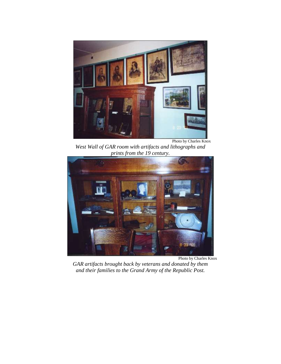

*West Wall of GAR room with artifacts and lithographs and prints from the 19 century.*



Photo by Charles Knox

*GAR artifacts brought back by veterans and donated by them and their families to the Grand Army of the Republic Post.*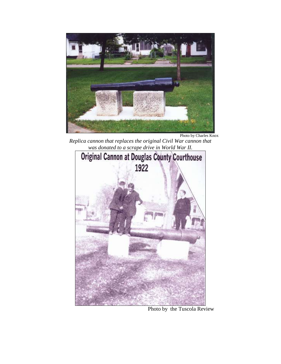

Photo by Charles Knox

*Replica cannon that replaces the original Civil War cannon that was donated to a scrape drive in World War II.*



Photo by the Tuscola Review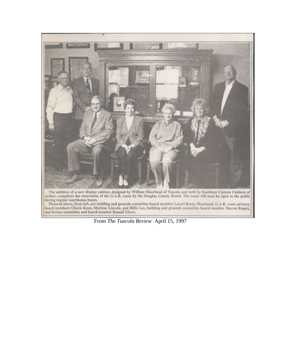

The addition of a new display cabinet, designed by William Moorhead of Tuscola and built by Kaufman Custom Cabinets of Arthur, completes the renovation of the G.A.R. room by the Douglas County Board. The room will soon be

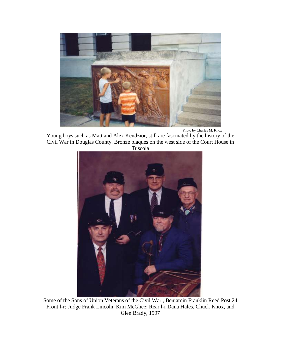

Photo by Charles M. Knox

Young boys such as Matt and Alex Kendzior, still are fascinated by the history of the Civil War in Douglas County. Bronze plaques on the west side of the Court House in Tuscola



Some of the Sons of Union Veterans of the Civil War , Benjamin Franklin Reed Post 24 Front l-r: Judge Frank Lincoln, Kim McGhee; Rear l-r Dana Hales, Chuck Knox, and Glen Brady, 1997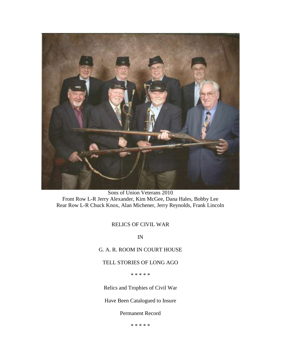

Sons of Union Veterans 2010 Front Row L-R Jerry Alexander, Kim McGee, Dana Hales, Bobby Lee Rear Row L-R Chuck Knox, Alan Michener, Jerry Reynolds, Frank Lincoln

## RELICS OF CIVIL WAR

IN

G. A. R. ROOM IN COURT HOUSE

TELL STORIES OF LONG AGO

\* \* \* \* \*

Relics and Trophies of Civil War

Have Been Catalogued to Insure

Permanent Record

\* \* \* \* \*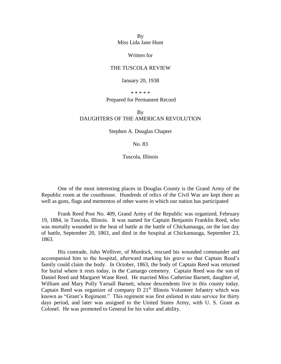By Miss Lida Jane Hunt

Written for

#### THE TUSCOLA REVIEW

#### January 20, 1938

\* \* \* \* \*

#### Prepared for Permanent Record

#### By DAUGHTERS OF THE AMERICAN REVOLUTION

Stephen A. Douglas Chapter

#### No. 83

Tuscola, Illinois

One of the most interesting places in Douglas County is the Grand Army of the Republic room at the courthouse. Hundreds of relics of the Civil War are kept there as well as guns, flags and mementos of other wares in which our nation has participated

Frank Reed Post No. 409, Grand Army of the Republic was organized, February 19, 1884, in Tuscola, Illinois. It was named for Captain Benjamin Franklin Reed, who was mortally wounded in the heat of battle at the battle of Chickamauga, on the last day of battle, September 20, 1863, and died in the hospital at Chickamauga, September 23, 1863.

His comrade, John Welliver, of Murdock, rescued his wounded commander and accompanied him to the hospital, afterward marking his grave so that Captain Reed's family could claim the body. In October, 1863, the body of Captain Reed was returned for burial where it rests today, in the Camargo cemetery. Captain Reed was the son of Daniel Reed and Margaret Wane Reed. He married Miss Catherine Barnett, daughter of, William and Mary Polly Yarnall Barnett, whose descendents live in this county today. Captain Reed was organizer of company  $D$  21<sup>st</sup> Illinois Volunteer Infantry which was known as "Grant's Regiment." This regiment was first enlisted in state service for thirty days period, and later was assigned to the United States Army, with U. S. Grant as Colonel. He was promoted to General for his valor and ability.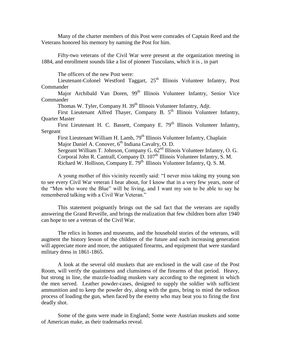Many of the charter members of this Post were comrades of Captain Reed and the Veterans honored his memory by naming the Post for him.

Fifty-two veterans of the Civil War were present at the organization meeting in 1884, and enrollment sounds like a list of pioneer Tuscolans, which it is , in part

The officers of the new Post were:

Lieutenant-Colonel Westford Taggart, 25<sup>th</sup> Illinois Volunteer Infantry, Post Commander

Major Archibald Van Doren, 99<sup>th</sup> Illinois Volunteer Infantry, Senior Vice **Commander** 

Thomas W. Tyler, Company H. 39<sup>th</sup> Illinois Volunteer Infantry, Adjt.

First Lieutenant Alfred Thayer, Company B. 5<sup>th</sup> Illinois Volunteer Infantry, Quarter Master

First Lieutenant H. C. Bassett, Company E.  $79<sup>th</sup>$  Illinois Volunteer Infantry, Sergeant

First Lieutenant William H. Lamb, 79<sup>th</sup> Illinois Volunteer Infantry, Chaplain Major Daniel A. Conover, 6<sup>th</sup> Indiana Cavalry, O. D. Sergeant William T. Johnson, Company G. 62nd Illinois Volunteer Infantry, O. G. Corporal John R. Cantrall, Company D. 107<sup>th</sup> Illinois Volunteer Infantry, S. M.

Richard W. Hollison, Company E.  $79<sup>th</sup>$  Illinois Volunteer Infantry, O. S. M.

A young mother of this vicinity recently said: "I never miss taking my young son to see every Civil War veteran I hear about, for I know that in a very few years, none of the "Men who wore the Blue" will be living, and I want my son to be able to say he remembered talking with a Civil War Veteran."

This statement poignantly brings out the sad fact that the veterans are rapidly answering the Grand Reveille, and brings the realization that few children born after 1940 can hope to see a veteran of the Civil War.

The relics in homes and museums, and the household stories of the veterans, will augment the history lesson of the children of the future and each increasing generation will appreciate more and more, the antiquated firearms, and equipment that were standard military dress in 1861-1865.

A look at the several old muskets that are enclosed in the wall case of the Post Room, will verify the quaintness and clumsiness of the firearms of that period. Heavy, but strong in line, the muzzle-loading muskets vary according to the regiment in which the men served. Leather powder-cases, designed to supply the soldier with sufficient ammunition and to keep the powder dry, along with the guns, bring to mind the tedious process of loading the gun, when faced by the enemy who may beat you to firing the first deadly shot.

Some of the guns were made in England; Some were Austrian muskets and some of American make, as their trademarks reveal.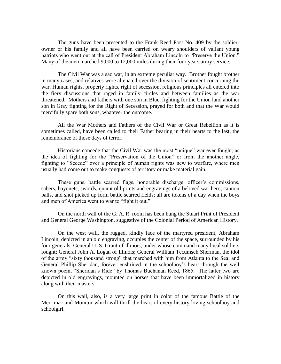The guns have been presented to the Frank Reed Post No. 409 by the soldierowner or his family and all have been carried on weary shoulders of valiant young patriots who went out at the call of President Abraham Lincoln to "Preserve the Union." Many of the men marched 9,000 to 12,000 miles during their four years army service.

The Civil War was a sad war, in an extreme peculiar way. Brother fought brother in many cases; and relatives were alienated over the division of sentiment concerning the war. Human rights, property rights, right of secession, religious principles all entered into the fiery discussions that raged in family circles and between families as the war threatened. Mothers and fathers with one son in Blue, fighting for the Union land another son in Gray fighting for the Right of Secession, prayed for both and that the War would mercifully spare both sons, whatever the outcome.

All the War Mothers and Fathers of the Civil War or Great Rebellion as it is sometimes called, have been called to their Father bearing in their hearts to the last, the remembrance of those days of terror.

Historians concede that the Civil War was the most "unique" war ever fought, as the idea of fighting for the "Preservation of the Union" or from the another angle, fighting to "Secede" over a principle of human rights was new to warfare, where men usually had come out to make conquests of territory or make material gain.

These guns, battle scarred flags, honorable discharge, officer's commissions, sabers, bayonets, swords, quaint old prints and engravings of a beloved war hero, cannon balls, and shot picked up form battle scarred fields; all are tokens of a day when the boys and men of America went to war to "fight it out."

On the north wall of the G. A. R. room has been hung the Stuart Print of President and General George Washington, suggestive of the Colonial Period of American History.

On the west wall, the rugged, kindly face of the martyred president, Abraham Lincoln, depicted in an old engraving, occupies the center of the space, surrounded by his four generals, General U. S. Grant of Illinois, under whose command many local soldiers fought; General John A. Logan of Illinois; General William Tecumseh Sherman, the idol of the army "sixty thousand strong" that marched with him from Atlanta to the Sea; and General Phillip Sheridan, forever enshrined in the schoolboy's heart through the well known poem, "Sheridan's Ride" by Thomas Buchanan Reed, 1865. The latter two are depicted in old engravings, mounted on horses that have been immortalized in history along with their masters.

On this wall, also, is a very large print in color of the famous Battle of the Merrimac and Monitor which will thrill the heart of every history loving schoolboy and schoolgirl.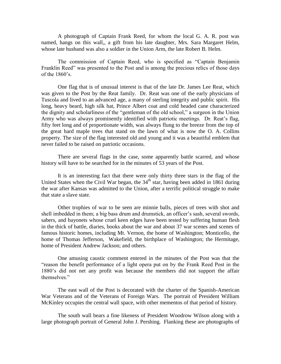A photograph of Captain Frank Reed, for whom the local G. A. R. post was named, hangs on this wall,, a gift from his late daughter, Mrs. Sara Margaret Helm, whose late husband was also a soldier in the Union Arm, the late Robert B. Helm.

The commission of Captain Reed, who is specified as "Captain Benjamin" Franklin Reed" was presented to the Post and is among the precious relics of those days of the  $1860$ 's.

One flag that is of unusual interest is that of the late Dr. James Lee Reat, which was given to the Post by the Reat family. Dr. Reat was one of the early physicians of Tuscola and lived to an advanced age, a many of sterling integrity and public spirit. His long, heavy beard, high silk hat, Prince Albert coat and cold headed cane characterized the dignity and scholarliness of the "gentleman of the old school," a surgeon in the Union Army who was always prominently identified with patriotic meetings. Dr. Reat's flag, fifty feet long and of proportionate width, was always flung to the breeze from the top of the great hard maple trees that stand on the lawn of what is now the O. A. Collins property. The size of the flag interested old and young and it was a beautiful emblem that never failed to be raised on patriotic occasions.

There are several flags in the case, some apparently battle scarred, and whose history will have to be searched for in the minutes of 53 years of the Post.

It is an interesting fact that there were only thirty three stars in the flag of the United States when the Civil War began, the  $34<sup>th</sup>$  star, having been added in 1861 during the war after Kansas was admitted to the Union, after a terrific political struggle to make that state a slave state.

Other trophies of war to be seen are minnie balls, pieces of trees with shot and shell imbedded in them; a big bass drum and drumstick, an officer's sash, several swords, sabers, and bayonets whose cruel keen edges have been tested by suffering human flesh in the thick of battle, diaries, books about the war and about 37 war scenes and scenes of famous historic homes, including Mt. Vernon, the home of Washington; Monticello, the home of Thomas Jefferson, Wakefield, the birthplace of Washington; the Hermitage, home of President Andrew Jackson; and others.

One amusing caustic comment entered in the minutes of the Post was that the "reason the benefit performance of a light opera put on by the Frank Reed Post in the 1880's did not net any profit was because the members did not support the affair themselves."

The east wall of the Post is decorated with the charter of the Spanish-American War Veterans and of the Veterans of Foreign Wars. The portrait of President William McKinley occupies the central wall space, with other mementos of that period of history.

The south wall bears a fine likeness of President Woodrow Wilson along with a large photograph portrait of General John J. Pershing. Flanking these are photographs of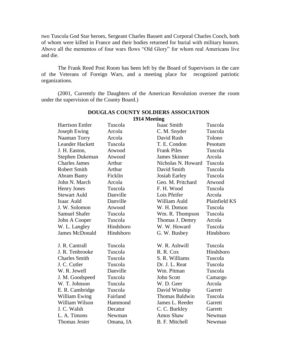two Tuscola God Star heroes, Sergeant Charles Bassett and Corporal Charles Cooch, both of whom were killed in France and their bodies returned for burial with military honors. Above all the mementos of four wars flows "Old Glory" for whom real Americans live and die.

The Frank Reed Post Room has been left by the Board of Supervisors in the care of the Veterans of Foreign Wars, and a meeting place for recognized patriotic organizations.

(2001, Currently the Daughters of the American Revolution oversee the room under the supervision of the County Board.)

| <b>Harrison Entler</b> | Tuscola   | <b>Isaac Smith</b>   | Tuscola       |
|------------------------|-----------|----------------------|---------------|
| Joseph Ewing           | Arcola    | C. M. Snyder         | Tuscola       |
| Naaman Torry           | Arcola    | David Rush           | Tolono        |
| <b>Leander Hackett</b> | Tuscola   | T. E. Condon         | Pesotum       |
| J. H. Easton,          | Atwood    | <b>Frank Piles</b>   | Tuscola       |
| Stephen Dukeman        | Atwood    | <b>James Skinner</b> | Arcola        |
| <b>Charles James</b>   | Arthur    | Nicholas N. Howard   | Tuscola       |
| <b>Robert Smith</b>    | Arthur    | David Smith          | Tuscola       |
| <b>Abram Banty</b>     | Ficklin   | Josiah Earley        | Tuscola       |
| John N. March          | Arcola    | Geo. M. Pritchard    | Atwood        |
| <b>Henry Jones</b>     | Tuscola   | F. H. Wood           | Tuscola       |
| <b>Stewart Auld</b>    | Danville  | Lois Pfeifer         | Arcola        |
| Isaac Auld             | Danville  | William Auld         | Plainfield KS |
| J. W. Solomon          | Atwood    | W. H. Dotson         | Tuscola       |
| <b>Samuel Shafer</b>   | Tuscola   | Wm. R. Thompson      | Tuscola       |
| John A Cooper          | Tuscola   | Thomas J. Demry      | Arcola        |
| W. L. Langley          | Hindsboro | W. W. Howard         | Tuscola       |
| <b>James McDonald</b>  | Hindsboro | G. W. Busbey         | Hindsboro     |
| J. R. Cantrall         | Tuscola   | W. R. Ashwill        | Tuscola       |
| J. R. Tenbrooke        | Tuscola   | R. R. Cox            | Hindsboro     |
| <b>Charles Smith</b>   | Tuscola   | S. R. Williams       | Tuscola       |
| J. C. Cutler           | Tuscola   | Dr. J. L. Reat       | Tuscola       |
| W. R. Jewell           | Danville  | Wm. Pitman           | Tuscola       |
| J. M. Goodspeed        | Tuscola   | <b>John Scott</b>    | Camargo       |
| W. T. Johnson          | Tuscola   | W. D. Geer           | Arcola        |
| E. R. Cambridge        | Tuscola   | David Winship        | Garrett       |
| William Ewing          | Fairland  | Thomas Baldwin       | Tuscola       |
| William Wilson         | Hammond   | James L. Reeder      | Garrett       |
| J. C. Walsh            | Decatur   | C. C. Burkley        | Garrett       |
| L. A. Timons           | Newman    | Amos Shaw            | Newman        |
| <b>Thomas Jester</b>   | Omana, IA | B. F. Mitchell       | Newman        |
|                        |           |                      |               |

#### **DOUGLAS COUNTY SOLDIERS ASSOCIATION 1914 Meeting**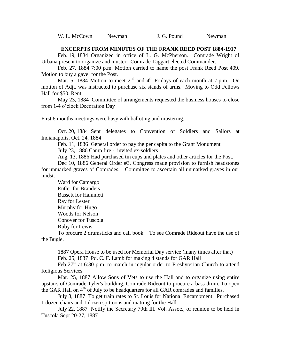W. L. McCown Newman J. G. Pound Newman

#### **EXCERPTS FROM MINUTES OF THE FRANK REED POST 1884-1917**

Feb. 19, 1884 Organized in office of L. G. McPherson. Comrade Wright of Urbana present to organize and muster. Comrade Taggart elected Commander.

Feb. 27, 1884 7:00 p.m. Motion carried to name the post Frank Reed Post 409. Motion to buy a gavel for the Post.

Mar. 5, 1884 Motion to meet  $2<sup>nd</sup>$  and  $4<sup>th</sup>$  Fridays of each month at 7.p.m. On motion of Adjt. was instructed to purchase six stands of arms. Moving to Odd Fellows Hall for \$50. Rent.

May 23, 1884 Committee of arrangements requested the business houses to close from 1-4 o'clock Decoration Day

First 6 months meetings were busy with balloting and mustering.

Oct. 20, 1884 Sent delegates to Convention of Soldiers and Sailors at Indianapolis, Oct. 24, 1884

Feb. 11, 1886 General order to pay the per capita to the Grant Monument July 23, 1886 Camp fire - invited ex-soldiers

Aug. 13, 1886 Had purchased tin cups and plates and other articles for the Post.

Dec 10, 1886 General Order #3. Congress made provision to furnish headstones for unmarked graves of Comrades. Committee to ascertain all unmarked graves in our midst.

Ward for Camargo Entler for Brandeis Bassett for Hammett Ray for Lester Murphy for Hugo Woods for Nelson Conover for Tuscola Ruby for Lewis

To procure 2 drumsticks and call book. To see Comrade Rideout have the use of the Bugle.

1887 Opera House to be used for Memorial Day service (many times after that) Feb. 25, 1887 Pd. C. F. Lamb for making 4 stands for GAR Hall

Feb  $27<sup>th</sup>$  at 6:30 p.m. to march in regular order to Presbyterian Church to attend Religious Services.

Mar. 25, 1887 Allow Sons of Vets to use the Hall and to organize using entire upstairs of Comrade Tyler's building. Comrade Rideout to procure a bass drum. To open the GAR Hall on 4<sup>th</sup> of July to be headquarters for all GAR comrades and families.

July 8, 1887 To get train rates to St. Louis for National Encampment. Purchased 1 dozen chairs and 1 dozen spittoons and matting for the Hall.

July 22, 1887 Notify the Secretary 79th Ill. Vol. Assoc., of reunion to be held in Tuscola Sept 20-27, 1887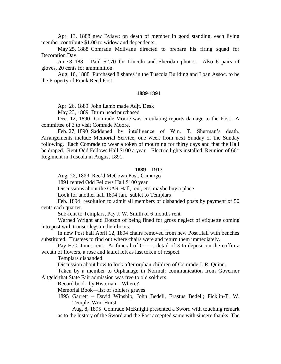Apr. 13, 1888 new Bylaw: on death of member in good standing, each living member contribute \$1.00 to widow and dependents.

May 25, 1888 Comrade McIlvane directed to prepare his firing squad for Decoration Day.

June 8, 188 Paid \$2.70 for Lincoln and Sheridan photos. Also 6 pairs of gloves, 20 cents for ammunition.

Aug. 10, 1888 Purchased 8 shares in the Tuscola Building and Loan Assoc. to be the Property of Frank Reed Post.

#### **1889-1891**

Apr. 26, 1889 John Lamb made Adjt. Desk

May 23, 1889 Drum head purchased

Dec. 12, 1890 Comrade Moore was circulating reports damage to the Post. A committee of 3 to visit Comrade Moore.

Feb. 27, 1890 Saddened by intelligence of Wm. T. Sherman's death. Arrangements include Memorial Service, one week from next Sunday or the Sunday following. Each Comrade to wear a token of mourning for thirty days and that the Hall be draped. Rent Odd Fellows Hall  $$100$  a year. Electric lights installed. Reunion of  $66<sup>th</sup>$ Regiment in Tuscola in August 1891.

#### **1889 – 1917**

Aug. 28, 1889 Rec'd McCown Post, Camargo

1891 rented Odd Fellows Hall \$100 year

Discussions about the GAR Hall, rent, etc. maybe buy a place

Look for another hall 1894 Jan. sublet to Templars

Feb. 1894 resolution to admit all members of disbanded posts by payment of 50 cents each quarter.

Sub-rent to Templars, Pay J. W. Smith of 6 months rent

Warned Wright and Dotson of being fined for gross neglect of etiquette coming into post with trouser legs in their boots.

In new Post hall April 12, 1894 chairs removed from new Post Hall with benches substituted. Trustees to find out where chairs were and return them immediately.

Pay H.C. Jones rent. At funeral of G-----; detail of 3 to deposit on the coffin a wreath of flowers, a rose and laurel left as last token of respect.

Templars disbanded

Discussion about how to look after orphan children of Comrade J. R. Quinn.

Taken by a member to Orphanage in Normal; communication from Governor Altgeld that State Fair admission was free to old soldiers.

Record book by Historian—Where?

Memorial Book—list of soldiers graves

1895 Garrett – David Winship, John Bedell, Erastus Bedell; Ficklin-T. W. Temple, Wm. Hurst

Aug. 8, 1895 Comrade McKnight presented a Sword with touching remark as to the history of the Sword and the Post accepted same with sincere thanks. The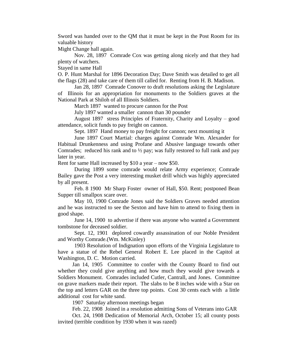Sword was handed over to the QM that it must be kept in the Post Room for its valuable history

Might Change hall again.

Nov. 28, 1897 Comrade Cox was getting along nicely and that they had plenty of watchers.

Stayed in same Hall

O. P. Hunt Marshal for 1896 Decoration Day; Dave Smith was detailed to get all the flags (28) and take care of them till called for. Renting from H. B. Madison.

Jan 28, 1897 Comrade Conover to draft resolutions asking the Legislature of Illinois for an appropriation for monuments to the Soldiers graves at the National Park at Shiloh of all Illinois Soldiers.

March 1897 wanted to procure cannon for the Post

July 1897 wanted a smaller cannon than 30 pounder

August 1897 stress Principles of Fraternity, Charity and Loyalty – good attendance, solicit funds to pay freight on cannon.

Sept. 1897 Hand money to pay freight for cannon; next mounting it

June 1897 Court Martial: charges against Comrade Wm. Alexander for Habitual Drunkenness and using Profane and Abusive language towards other Comrades; reduced his rank and to  $\frac{1}{2}$  pay; was fully restored to full rank and pay later in year.

Rent for same Hall increased by \$10 a year – now \$50.

During 1899 some comrade would relate Army experience; Comrade Bailey gave the Post a very interesting musket drill which was highly appreciated by all present.

Feb. 8 1900 Mr Sharp Foster owner of Hall, \$50. Rent; postponed Bean Supper till smallpox scare over.

May 10, 1900 Comrade Jones said the Soldiers Graves needed attention and he was instructed to see the Sexton and have him to attend to fixing them in good shape.

June 14, 1900 to advertise if there was anyone who wanted a Government tombstone for deceased soldier.

Sept. 12, 1901 deplored cowardly assassination of our Noble President and Worthy Comrade.(Wm. McKinley)

1903 Resolution of Indignation upon efforts of the Virginia Legislature to have a statue of the Rebel General Robert E. Lee placed in the Capitol at Washington, D. C. Motion carried.

Jan 14, 1905 Committee to confer with the County Board to find out whether they could give anything and how much they would give towards a Soldiers Monument. Comrades included Cutler, Cantrall, and Jones. Committee on grave markers made their report. The slabs to be 8 inches wide with a Star on the top and letters GAR on the three top points. Cost 30 cents each with a little additional cost for white sand.

1907 Saturday afternoon meetings began

Feb. 22, 1908 Joined in a resolution admitting Sons of Veterans into GAR

Oct. 24, 1908 Dedication of Memorial Arch, October 15; all county posts invited (terrible condition by 1930 when it was razed)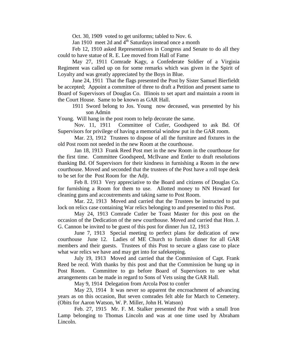Oct. 30, 1909 voted to get uniforms; tabled to Nov. 6.

Jan 1910 meet 2d and  $4<sup>th</sup>$  Saturdays instead once a month

Feb 12, 1910 asked Representatives in Congress and Senate to do all they could to have statue of R. E. Lee moved from Hall of Fame

May 27, 1911 Comrade Kagy, a Confederate Soldier of a Virginia Regiment was called up on for some remarks which was given in the Spirit of Loyalty and was greatly appreciated by the Boys in Blue.

June 24, 1911 That the flags presented the Post by Sister Samuel Bierfieldt be accepted; Appoint a committee of three to draft a Petition and present same to Board of Supervisors of Douglas Co. Illinois to set apart and maintain a room in the Court House. Same to be known as GAR Hall.

1911 Sword belong to Jos. Young now deceased, was presented by his son Admin

Young. Will hang in the post room to help decorate the same.

Nov. 11, 1911 Committee of Cutler, Goodspeed to ask Bd. Of Supervisors for privilege of having a memorial window put in the GAR room.

Mar. 23, 1912 Trustees to dispose of all the furniture and fixtures in the old Post room not needed in the new Room at the courthouse.

Jan 18, 1913 Frank Reed Post met in the new Room in the courthouse for the first time. Committee Goodspeed, McIlvane and Entler to draft resolutions thanking Bd. Of Supervisors for their kindness in furnishing a Room in the new courthouse. Moved and seconded that the trustees of the Post have a roll tope desk to be set for the Post Room for the Adjt.

Feb 8. 1913 Very appreciative to the Board and citizens of Douglas Co. for furnishing a Room for them to use. Allotted money to NN Howard for cleaning guns and accoutrements and taking same to Post Room.

Mar. 22, 1913 Moved and carried that the Trustees be instructed to put lock on relics case containing War relics belonging to and presented to this Post.

May 24, 1913 Comrade Cutler be Toast Master for this post on the occasion of the Dedication of the new courthouse. Moved and carried that Hon. J. G. Cannon be invited to be guest of this post for dinner Jun 12, 1913

June 7, 1913 Special meeting to perfect plans for dedication of new courthouse June 12. Ladies of ME Church to furnish dinner for all GAR members and their guests. Trustees of this Post to secure a glass case to place what war relics we have and may get into for safekeeping.

July 19, 1913 Moved and carried that the Commission of Capt. Frank Reed be recd. With thanks by this post and that the Commission be hung up in Post Room. Committee to go before Board of Supervisors to see what arrangements can be made in regard to Sons of Vets using the GAR Hall.

May 9, 1914 Delegation from Arcola Post to confer

May 23, 1914 It was never so apparent the encroachment of advancing years as on this occasion, But seven comrades felt able for March to Cemetery. (Obits for Aaron Watson, W. P. Miller, John H. Watson)

Feb. 27, 1915 Mr. F. M. Stalker presented the Post with a small Iron Lamp belonging to Thomas Lincoln and was at one time used by Abraham Lincoln.